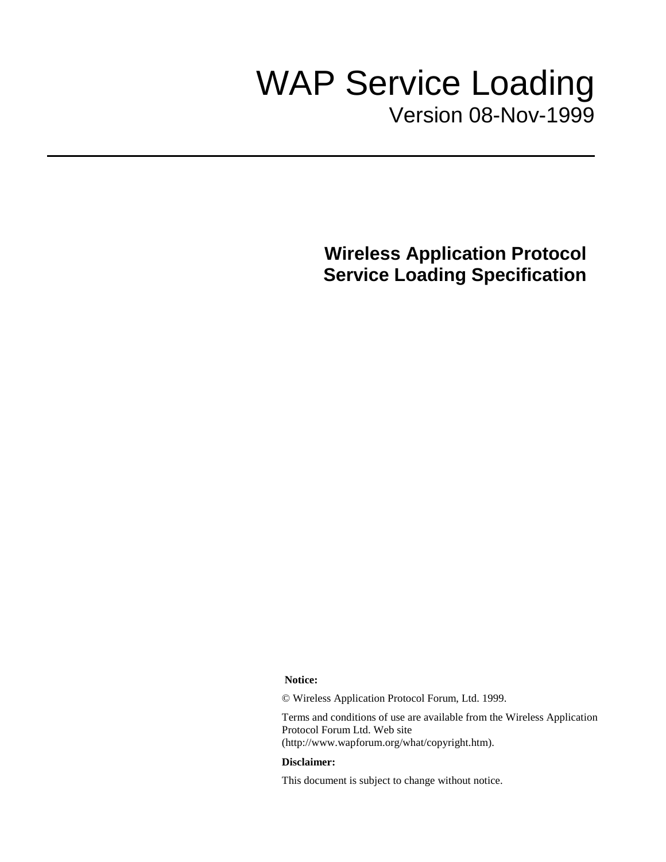# WAP Service Loading Version 08-Nov-1999

**Wireless Application Protocol Service Loading Specification**

**Notice:**

© Wireless Application Protocol Forum, Ltd. 1999.

Terms and conditions of use are available from the Wireless Application Protocol Forum Ltd. Web site (http://www.wapforum.org/what/copyright.htm).

#### **Disclaimer:**

This document is subject to change without notice.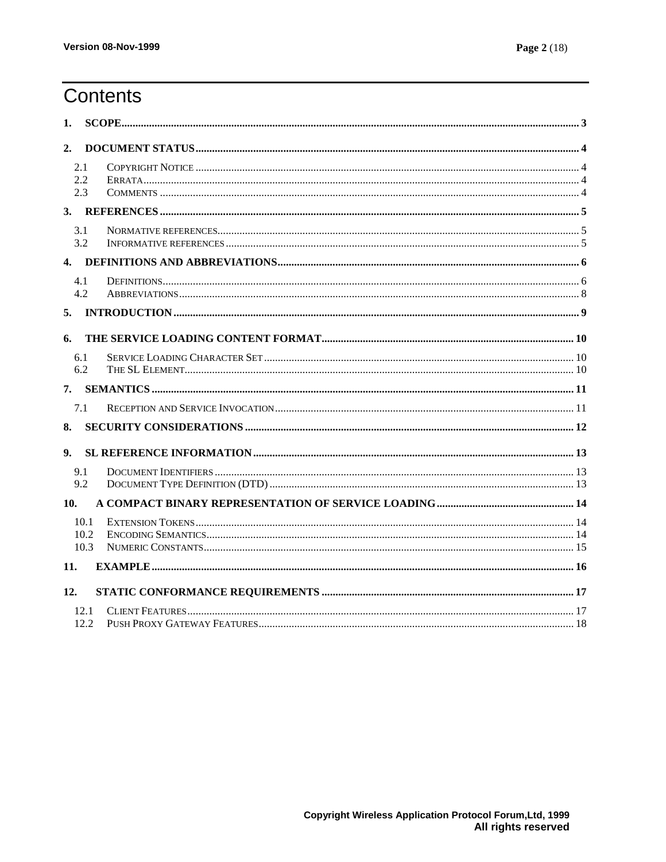# **Contents**

| 1.             |                      |  |  |  |  |
|----------------|----------------------|--|--|--|--|
| 2.             |                      |  |  |  |  |
|                | 2.1<br>2.2<br>2.3    |  |  |  |  |
| 3.             |                      |  |  |  |  |
|                | 3.1<br>3.2           |  |  |  |  |
|                |                      |  |  |  |  |
|                | 4.1<br>4.2           |  |  |  |  |
| 5.             |                      |  |  |  |  |
| 6.             |                      |  |  |  |  |
|                | 6.1<br>6.2           |  |  |  |  |
| 7.             |                      |  |  |  |  |
|                | 7.1                  |  |  |  |  |
| 8.             |                      |  |  |  |  |
| 9 <sub>1</sub> |                      |  |  |  |  |
|                | 9.1<br>9.2           |  |  |  |  |
| 10.            |                      |  |  |  |  |
|                | 10.1<br>10.2<br>10.3 |  |  |  |  |
| 11.            |                      |  |  |  |  |
| 12.            |                      |  |  |  |  |
|                | 12.1<br>12.2.        |  |  |  |  |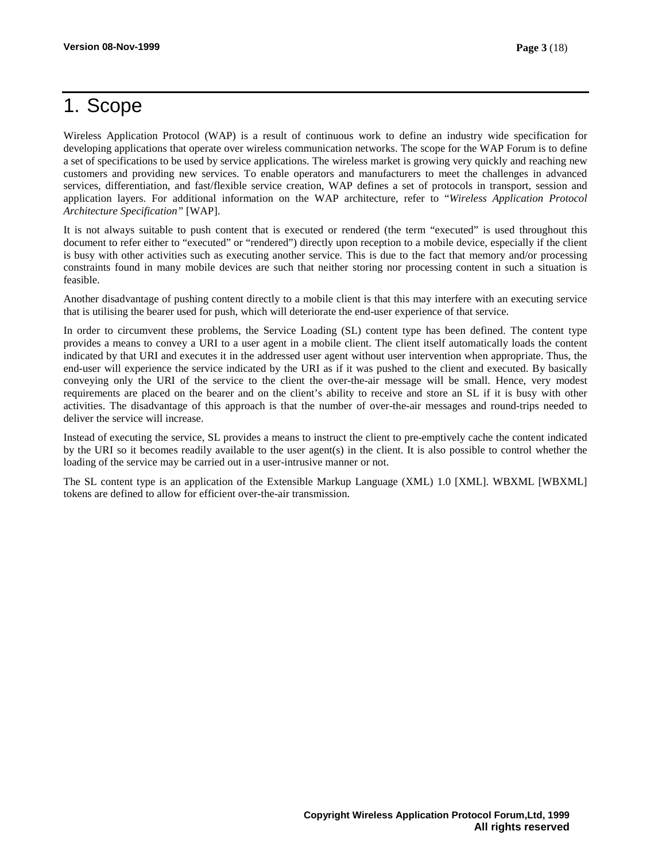# 1. Scope

Wireless Application Protocol (WAP) is a result of continuous work to define an industry wide specification for developing applications that operate over wireless communication networks. The scope for the WAP Forum is to define a set of specifications to be used by service applications. The wireless market is growing very quickly and reaching new customers and providing new services. To enable operators and manufacturers to meet the challenges in advanced services, differentiation, and fast/flexible service creation, WAP defines a set of protocols in transport, session and application layers. For additional information on the WAP architecture, refer to "*Wireless Application Protocol Architecture Specification"* [WAP].

It is not always suitable to push content that is executed or rendered (the term "executed" is used throughout this document to refer either to "executed" or "rendered") directly upon reception to a mobile device, especially if the client is busy with other activities such as executing another service. This is due to the fact that memory and/or processing constraints found in many mobile devices are such that neither storing nor processing content in such a situation is feasible.

Another disadvantage of pushing content directly to a mobile client is that this may interfere with an executing service that is utilising the bearer used for push, which will deteriorate the end-user experience of that service.

In order to circumvent these problems, the Service Loading (SL) content type has been defined. The content type provides a means to convey a URI to a user agent in a mobile client. The client itself automatically loads the content indicated by that URI and executes it in the addressed user agent without user intervention when appropriate. Thus, the end-user will experience the service indicated by the URI as if it was pushed to the client and executed. By basically conveying only the URI of the service to the client the over-the-air message will be small. Hence, very modest requirements are placed on the bearer and on the client's ability to receive and store an SL if it is busy with other activities. The disadvantage of this approach is that the number of over-the-air messages and round-trips needed to deliver the service will increase.

Instead of executing the service, SL provides a means to instruct the client to pre-emptively cache the content indicated by the URI so it becomes readily available to the user agent(s) in the client. It is also possible to control whether the loading of the service may be carried out in a user-intrusive manner or not.

The SL content type is an application of the Extensible Markup Language (XML) 1.0 [XML]. WBXML [WBXML] tokens are defined to allow for efficient over-the-air transmission.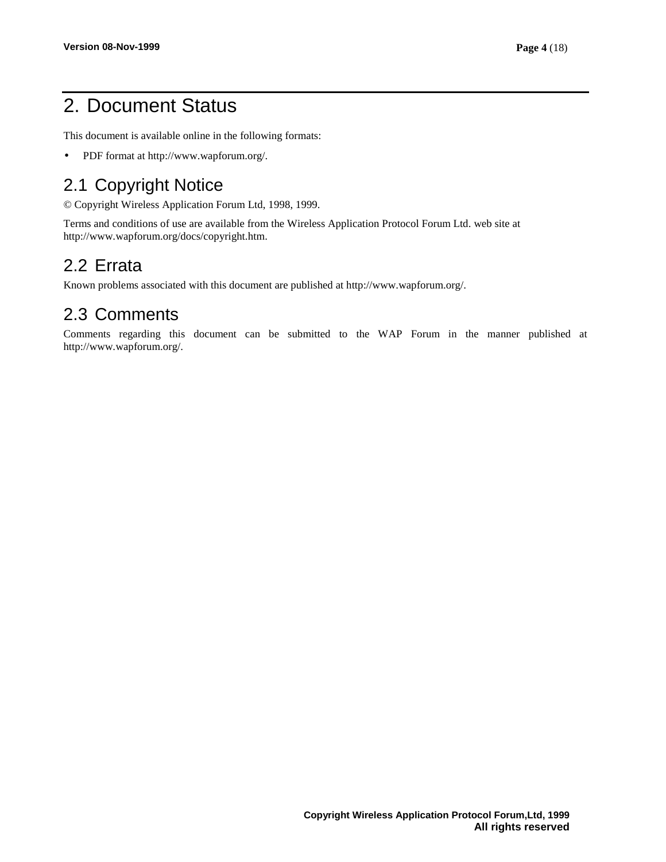# 2. Document Status

This document is available online in the following formats:

• PDF format at http://www.wapforum.org/.

## 2.1 Copyright Notice

© Copyright Wireless Application Forum Ltd, 1998, 1999.

Terms and conditions of use are available from the Wireless Application Protocol Forum Ltd. web site at http://www.wapforum.org/docs/copyright.htm.

## 2.2 Errata

Known problems associated with this document are published at http://www.wapforum.org/.

## 2.3 Comments

Comments regarding this document can be submitted to the WAP Forum in the manner published at http://www.wapforum.org/.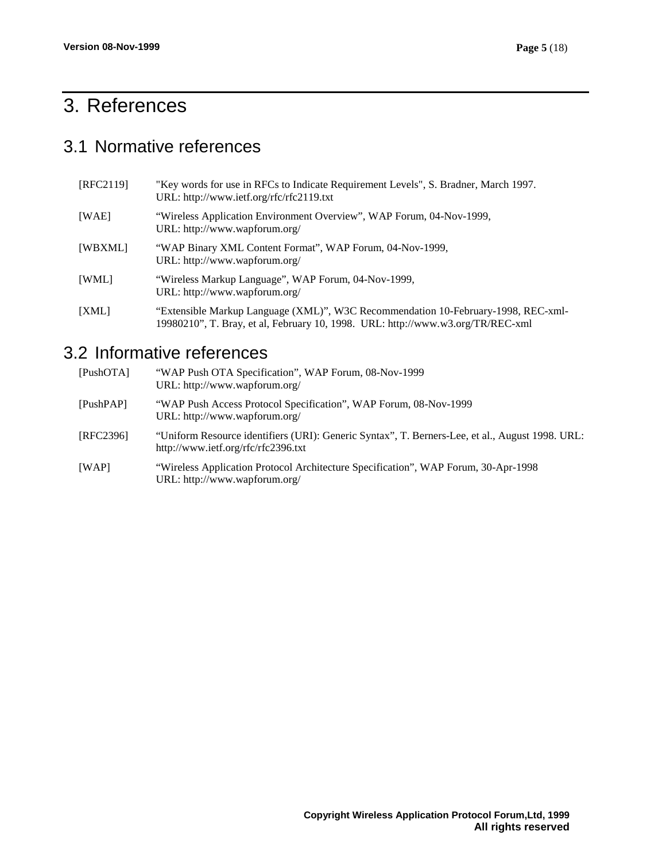# 3. References

## 3.1 Normative references

| [REC2119] | "Key words for use in RFCs to Indicate Requirement Levels", S. Bradner, March 1997.<br>URL: http://www.ietf.org/rfc/rfc2119.txt                                      |
|-----------|----------------------------------------------------------------------------------------------------------------------------------------------------------------------|
| [WAE]     | "Wireless Application Environment Overview", WAP Forum, 04-Nov-1999,<br>URL: http://www.wapforum.org/                                                                |
| [WBXML]   | "WAP Binary XML Content Format", WAP Forum, 04-Nov-1999,<br>URL: http://www.wapforum.org/                                                                            |
| [WML]     | "Wireless Markup Language", WAP Forum, 04-Nov-1999,<br>URL: http://www.wapforum.org/                                                                                 |
| [XML]     | "Extensible Markup Language (XML)", W3C Recommendation 10-February-1998, REC-xml-<br>19980210", T. Bray, et al, February 10, 1998. URL: http://www.w3.org/TR/REC-xml |

## 3.2 Informative references

| [PushOTA] | "WAP Push OTA Specification", WAP Forum, 08-Nov-1999<br>URL: http://www.wapforum.org/                                                  |
|-----------|----------------------------------------------------------------------------------------------------------------------------------------|
| [PushPAP] | "WAP Push Access Protocol Specification", WAP Forum, 08-Nov-1999<br>URL: http://www.wapforum.org/                                      |
| [REC2396] | "Uniform Resource identifiers (URI): Generic Syntax", T. Berners-Lee, et al., August 1998. URL:<br>http://www.ietf.org/rfc/rfc2396.txt |
| [WAP]     | "Wireless Application Protocol Architecture Specification", WAP Forum, 30-Apr-1998<br>URL: http://www.wapforum.org/                    |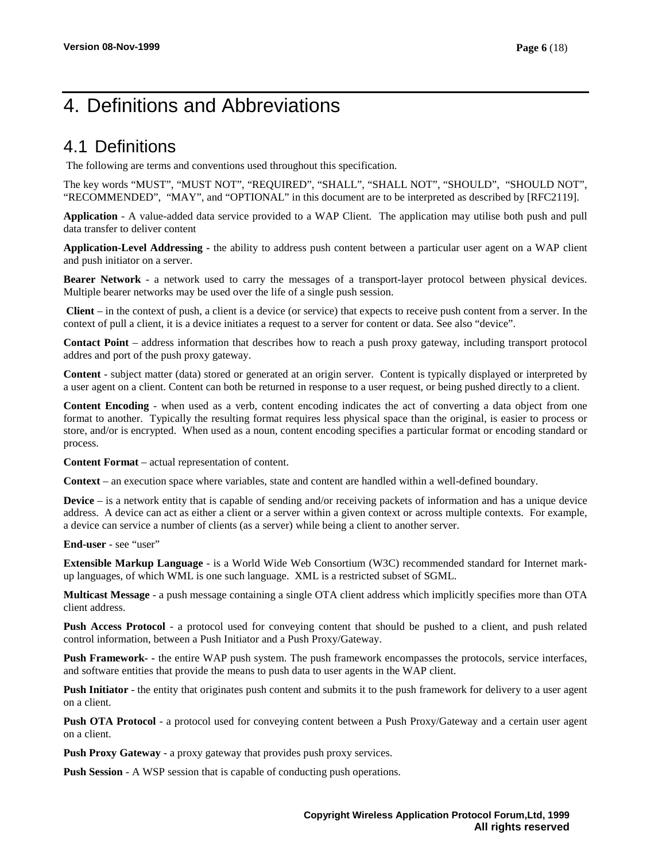# 4. Definitions and Abbreviations

### 4.1 Definitions

The following are terms and conventions used throughout this specification.

The key words "MUST", "MUST NOT", "REQUIRED", "SHALL", "SHALL NOT", "SHOULD", "SHOULD NOT", "RECOMMENDED", "MAY", and "OPTIONAL" in this document are to be interpreted as described by [RFC2119].

**Application** - A value-added data service provided to a WAP Client. The application may utilise both push and pull data transfer to deliver content

**Application-Level Addressing -** the ability to address push content between a particular user agent on a WAP client and push initiator on a server.

**Bearer Network** - a network used to carry the messages of a transport-layer protocol between physical devices. Multiple bearer networks may be used over the life of a single push session.

**Client** – in the context of push, a client is a device (or service) that expects to receive push content from a server. In the context of pull a client, it is a device initiates a request to a server for content or data. See also "device".

**Contact Point** – address information that describes how to reach a push proxy gateway, including transport protocol addres and port of the push proxy gateway.

**Content** - subject matter (data) stored or generated at an origin server. Content is typically displayed or interpreted by a user agent on a client. Content can both be returned in response to a user request, or being pushed directly to a client.

**Content Encoding** - when used as a verb, content encoding indicates the act of converting a data object from one format to another. Typically the resulting format requires less physical space than the original, is easier to process or store, and/or is encrypted. When used as a noun, content encoding specifies a particular format or encoding standard or process.

**Content Format** – actual representation of content.

**Context** – an execution space where variables, state and content are handled within a well-defined boundary.

**Device** – is a network entity that is capable of sending and/or receiving packets of information and has a unique device address. A device can act as either a client or a server within a given context or across multiple contexts. For example, a device can service a number of clients (as a server) while being a client to another server.

**End-user** - see "user"

**Extensible Markup Language** - is a World Wide Web Consortium (W3C) recommended standard for Internet markup languages, of which WML is one such language. XML is a restricted subset of SGML.

**Multicast Message** - a push message containing a single OTA client address which implicitly specifies more than OTA client address.

**Push Access Protocol** - a protocol used for conveying content that should be pushed to a client, and push related control information, between a Push Initiator and a Push Proxy/Gateway.

**Push Framework- -** the entire WAP push system. The push framework encompasses the protocols, service interfaces, and software entities that provide the means to push data to user agents in the WAP client.

**Push Initiator** - the entity that originates push content and submits it to the push framework for delivery to a user agent on a client.

**Push OTA Protocol** - a protocol used for conveying content between a Push Proxy/Gateway and a certain user agent on a client.

**Push Proxy Gateway** - a proxy gateway that provides push proxy services.

**Push Session** - A WSP session that is capable of conducting push operations.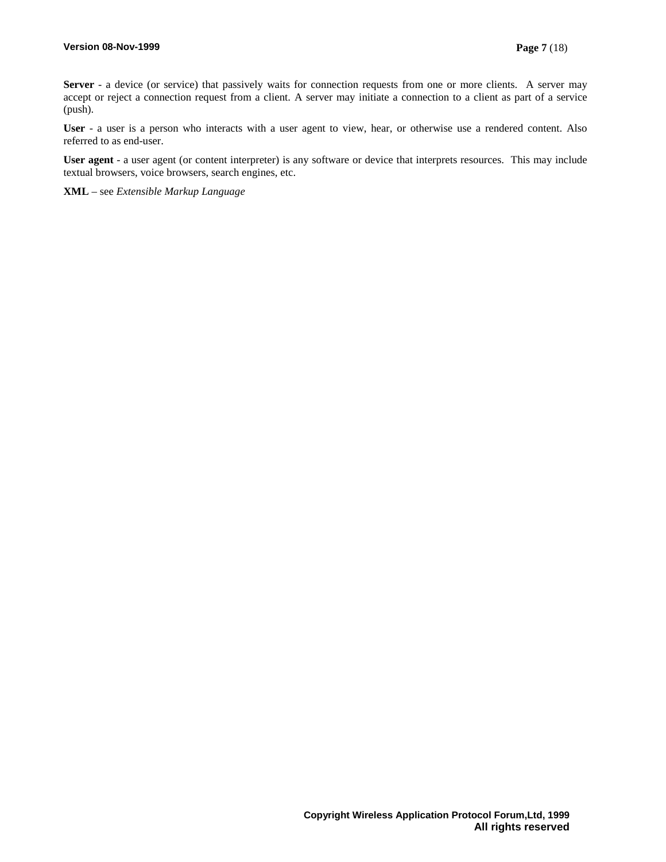**Server** - a device (or service) that passively waits for connection requests from one or more clients. A server may accept or reject a connection request from a client. A server may initiate a connection to a client as part of a service (push).

**User** - a user is a person who interacts with a user agent to view, hear, or otherwise use a rendered content. Also referred to as end-user.

**User agent** - a user agent (or content interpreter) is any software or device that interprets resources. This may include textual browsers, voice browsers, search engines, etc.

**XML** – see *Extensible Markup Language*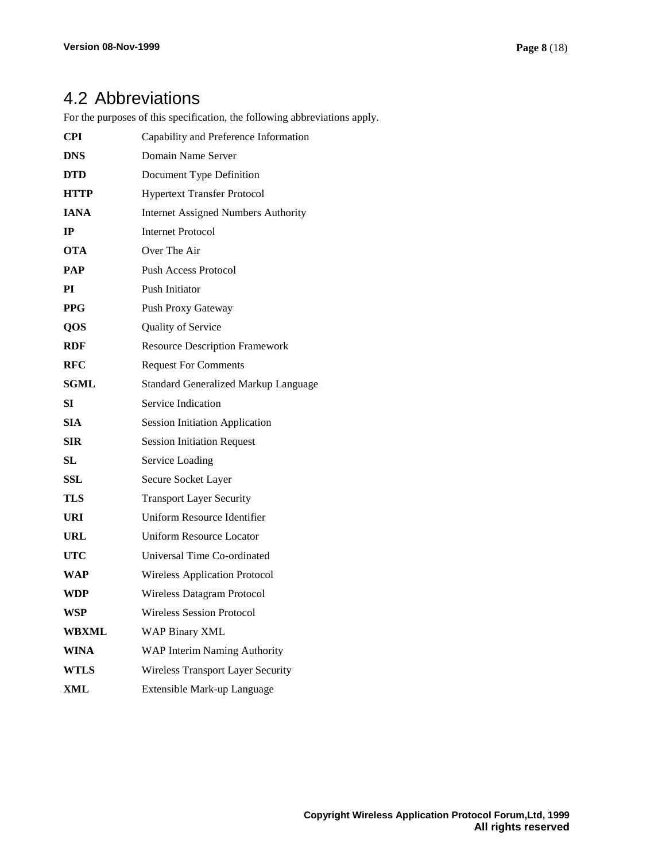## 4.2 Abbreviations

For the purposes of this specification, the following abbreviations apply.

| <b>CPI</b>   | Capability and Preference Information      |
|--------------|--------------------------------------------|
| <b>DNS</b>   | Domain Name Server                         |
| <b>DTD</b>   | Document Type Definition                   |
| <b>HTTP</b>  | <b>Hypertext Transfer Protocol</b>         |
| <b>IANA</b>  | <b>Internet Assigned Numbers Authority</b> |
| $_{\rm IP}$  | <b>Internet Protocol</b>                   |
| OTA          | Over The Air                               |
| <b>PAP</b>   | Push Access Protocol                       |
| РI           | Push Initiator                             |
| <b>PPG</b>   | Push Proxy Gateway                         |
| QOS          | Quality of Service                         |
| <b>RDF</b>   | <b>Resource Description Framework</b>      |
| <b>RFC</b>   | <b>Request For Comments</b>                |
| <b>SGML</b>  | Standard Generalized Markup Language       |
| SІ           | Service Indication                         |
| <b>SIA</b>   | <b>Session Initiation Application</b>      |
| <b>SIR</b>   | <b>Session Initiation Request</b>          |
| SL           | Service Loading                            |
| SSL          | Secure Socket Layer                        |
| TLS          | <b>Transport Layer Security</b>            |
| URI          | Uniform Resource Identifier                |
| URL          | <b>Uniform Resource Locator</b>            |
| UTC          | Universal Time Co-ordinated                |
| WAP          | <b>Wireless Application Protocol</b>       |
| WDP          | Wireless Datagram Protocol                 |
| <b>WSP</b>   | <b>Wireless Session Protocol</b>           |
| <b>WBXML</b> | <b>WAP Binary XML</b>                      |
| WINA         | WAP Interim Naming Authority               |
| <b>WTLS</b>  | Wireless Transport Layer Security          |
| XML          | Extensible Mark-up Language                |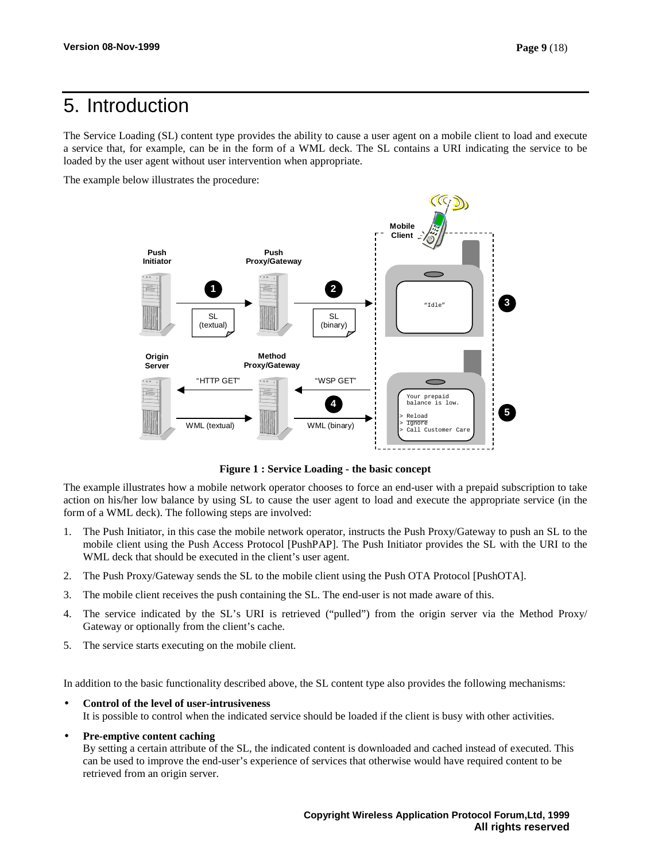# 5. Introduction

The Service Loading (SL) content type provides the ability to cause a user agent on a mobile client to load and execute a service that, for example, can be in the form of a WML deck. The SL contains a URI indicating the service to be loaded by the user agent without user intervention when appropriate.

The example below illustrates the procedure:



**Figure 1 : Service Loading - the basic concept**

The example illustrates how a mobile network operator chooses to force an end-user with a prepaid subscription to take action on his/her low balance by using SL to cause the user agent to load and execute the appropriate service (in the form of a WML deck). The following steps are involved:

- 1. The Push Initiator, in this case the mobile network operator, instructs the Push Proxy/Gateway to push an SL to the mobile client using the Push Access Protocol [PushPAP]. The Push Initiator provides the SL with the URI to the WML deck that should be executed in the client's user agent.
- 2. The Push Proxy/Gateway sends the SL to the mobile client using the Push OTA Protocol [PushOTA].
- 3. The mobile client receives the push containing the SL. The end-user is not made aware of this.
- 4. The service indicated by the SL's URI is retrieved ("pulled") from the origin server via the Method Proxy/ Gateway or optionally from the client's cache.
- 5. The service starts executing on the mobile client.

In addition to the basic functionality described above, the SL content type also provides the following mechanisms:

- **Control of the level of user-intrusiveness** It is possible to control when the indicated service should be loaded if the client is busy with other activities.
- **Pre-emptive content caching**

By setting a certain attribute of the SL, the indicated content is downloaded and cached instead of executed. This can be used to improve the end-user's experience of services that otherwise would have required content to be retrieved from an origin server.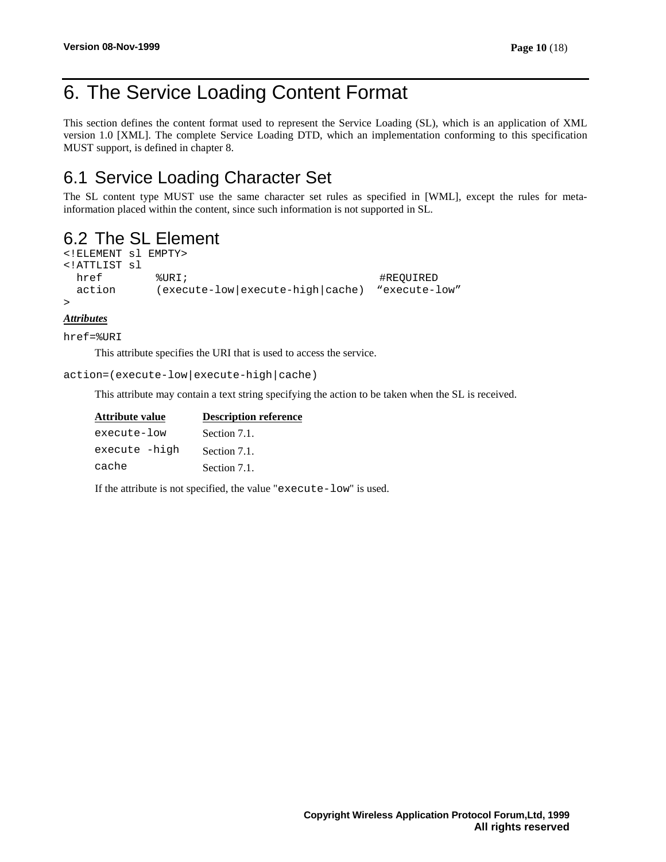# 6. The Service Loading Content Format

This section defines the content format used to represent the Service Loading (SL), which is an application of XML version 1.0 [XML]. The complete Service Loading DTD, which an implementation conforming to this specification MUST support, is defined in chapter 8.

## 6.1 Service Loading Character Set

The SL content type MUST use the same character set rules as specified in [WML], except the rules for metainformation placed within the content, since such information is not supported in SL.

## 6.2 The SL Element

```
<!ELEMENT sl EMPTY>
<!ATTLIST sl
 href \texttt{FURI}; \texttt{WRI}; \texttt{HREOUTRED}action (execute-low|execute-high|cache) "execute-low"
>
```
#### *Attributes*

href=%URI

This attribute specifies the URI that is used to access the service.

action=(execute-low|execute-high|cache)

This attribute may contain a text string specifying the action to be taken when the SL is received.

| Attribute value | <b>Description reference</b> |  |  |
|-----------------|------------------------------|--|--|
| execute-low     | Section 7.1.                 |  |  |
| execute -high   | Section 7.1.                 |  |  |
| cache           | Section 7.1.                 |  |  |

If the attribute is not specified, the value "execute-low" is used.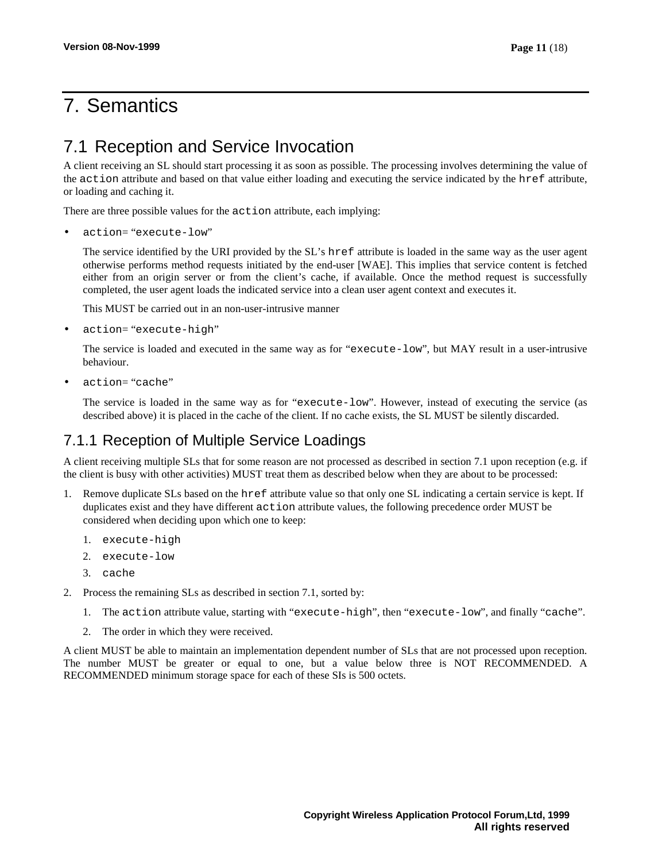# 7. Semantics

## 7.1 Reception and Service Invocation

A client receiving an SL should start processing it as soon as possible. The processing involves determining the value of the action attribute and based on that value either loading and executing the service indicated by the href attribute, or loading and caching it.

There are three possible values for the action attribute, each implying:

• action= "execute-low"

The service identified by the URI provided by the SL's href attribute is loaded in the same way as the user agent otherwise performs method requests initiated by the end-user [WAE]. This implies that service content is fetched either from an origin server or from the client's cache, if available. Once the method request is successfully completed, the user agent loads the indicated service into a clean user agent context and executes it.

This MUST be carried out in an non-user-intrusive manner

• action= "execute-high"

The service is loaded and executed in the same way as for "execute-low", but MAY result in a user-intrusive behaviour.

• action= "cache"

The service is loaded in the same way as for "execute-low". However, instead of executing the service (as described above) it is placed in the cache of the client. If no cache exists, the SL MUST be silently discarded.

### 7.1.1 Reception of Multiple Service Loadings

A client receiving multiple SLs that for some reason are not processed as described in section 7.1 upon reception (e.g. if the client is busy with other activities) MUST treat them as described below when they are about to be processed:

- 1. Remove duplicate SLs based on the href attribute value so that only one SL indicating a certain service is kept. If duplicates exist and they have different action attribute values, the following precedence order MUST be considered when deciding upon which one to keep:
	- 1. execute-high
	- 2. execute-low
	- 3. cache
- 2. Process the remaining SLs as described in section 7.1, sorted by:
	- 1. The action attribute value, starting with "execute-high", then "execute-low", and finally "cache".
	- 2. The order in which they were received.

A client MUST be able to maintain an implementation dependent number of SLs that are not processed upon reception. The number MUST be greater or equal to one, but a value below three is NOT RECOMMENDED. A RECOMMENDED minimum storage space for each of these SIs is 500 octets.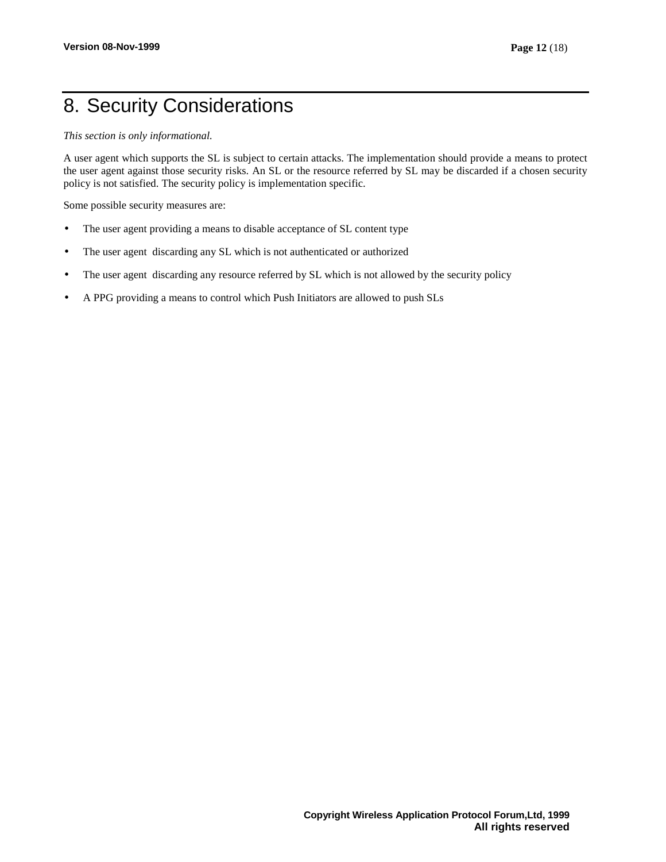# 8. Security Considerations

*This section is only informational.*

A user agent which supports the SL is subject to certain attacks. The implementation should provide a means to protect the user agent against those security risks. An SL or the resource referred by SL may be discarded if a chosen security policy is not satisfied. The security policy is implementation specific.

Some possible security measures are:

- The user agent providing a means to disable acceptance of SL content type
- The user agent discarding any SL which is not authenticated or authorized
- The user agent discarding any resource referred by SL which is not allowed by the security policy
- A PPG providing a means to control which Push Initiators are allowed to push SLs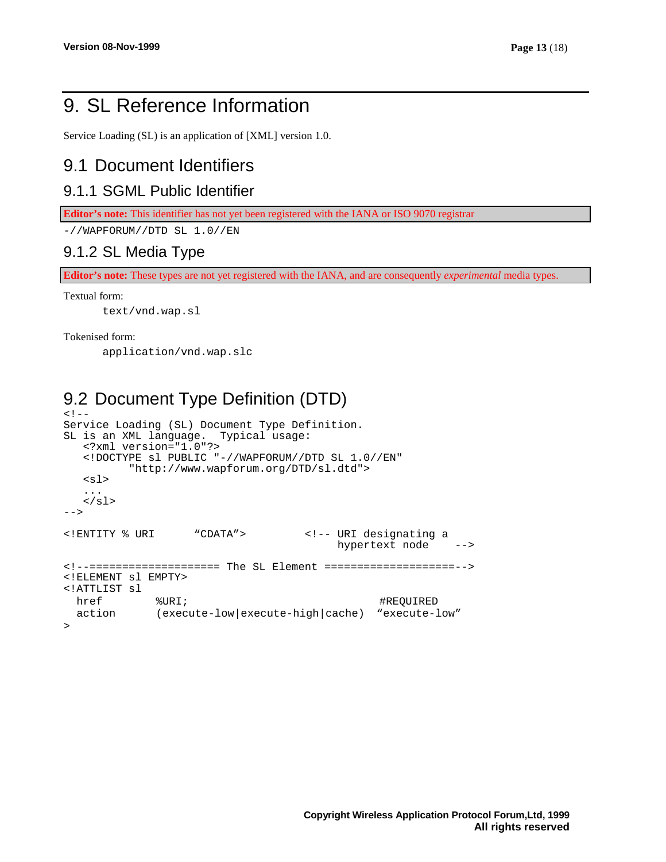# 9. SL Reference Information

Service Loading (SL) is an application of [XML] version 1.0.

### 9.1 Document Identifiers

### 9.1.1 SGML Public Identifier

**Editor's note:** This identifier has not yet been registered with the IANA or ISO 9070 registrar

 $-$ //WAPFORUM//DTD SL  $1.0$ //EN

### 9.1.2 SL Media Type

**Editor's note:** These types are not yet registered with the IANA, and are consequently *experimental* media types.

#### Textual form:

text/vnd.wap.sl

#### Tokenised form:

application/vnd.wap.slc

## 9.2 Document Type Definition (DTD)

```
<! -Service Loading (SL) Document Type Definition.
SL is an XML language. Typical usage:
  <?xml version="1.0"?>
  <!DOCTYPE sl PUBLIC "-//WAPFORUM//DTD SL 1.0//EN"
          "http://www.wapforum.org/DTD/sl.dtd">
   <sub>sl</sub></sub>
   ...
   \langlesl>
-->
<!ENTITY % URI "CDATA"> <!-- URI designating a
                                          hypertext node -->
<!--==================== The SL Element ====================-->
<!ELEMENT sl EMPTY>
<!ATTLIST sl
 href \texttt{WRL}; \texttt{WRL}; \texttt{WRL}; \texttt{WRL}action (execute-low|execute-high|cache) "execute-low"
>
```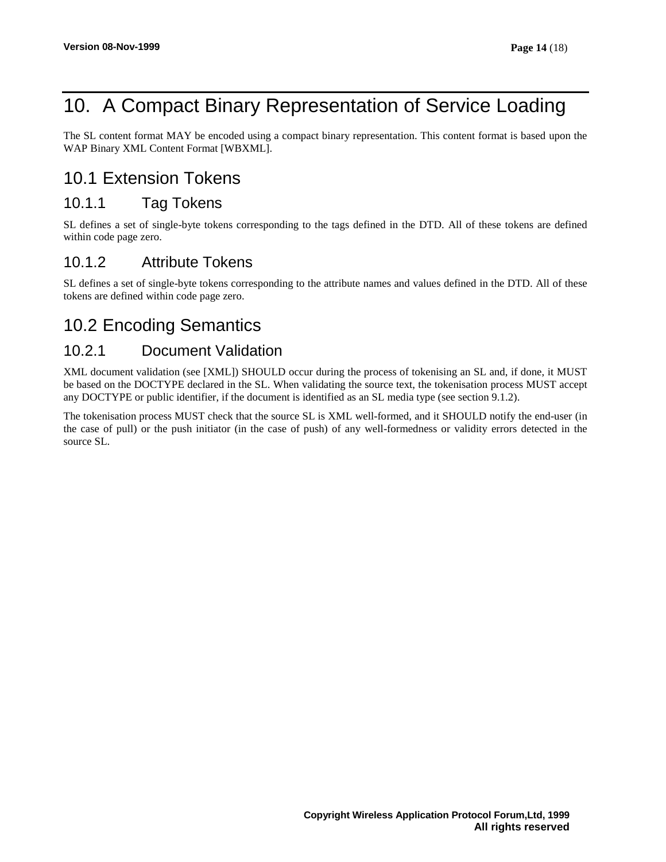# 10. A Compact Binary Representation of Service Loading

The SL content format MAY be encoded using a compact binary representation. This content format is based upon the WAP Binary XML Content Format [WBXML].

## 10.1 Extension Tokens

### 10.1.1 Tag Tokens

SL defines a set of single-byte tokens corresponding to the tags defined in the DTD. All of these tokens are defined within code page zero.

### 10.1.2 Attribute Tokens

SL defines a set of single-byte tokens corresponding to the attribute names and values defined in the DTD. All of these tokens are defined within code page zero.

## 10.2 Encoding Semantics

### 10.2.1 Document Validation

XML document validation (see [XML]) SHOULD occur during the process of tokenising an SL and, if done, it MUST be based on the DOCTYPE declared in the SL. When validating the source text, the tokenisation process MUST accept any DOCTYPE or public identifier, if the document is identified as an SL media type (see section 9.1.2).

The tokenisation process MUST check that the source SL is XML well-formed, and it SHOULD notify the end-user (in the case of pull) or the push initiator (in the case of push) of any well-formedness or validity errors detected in the source SL.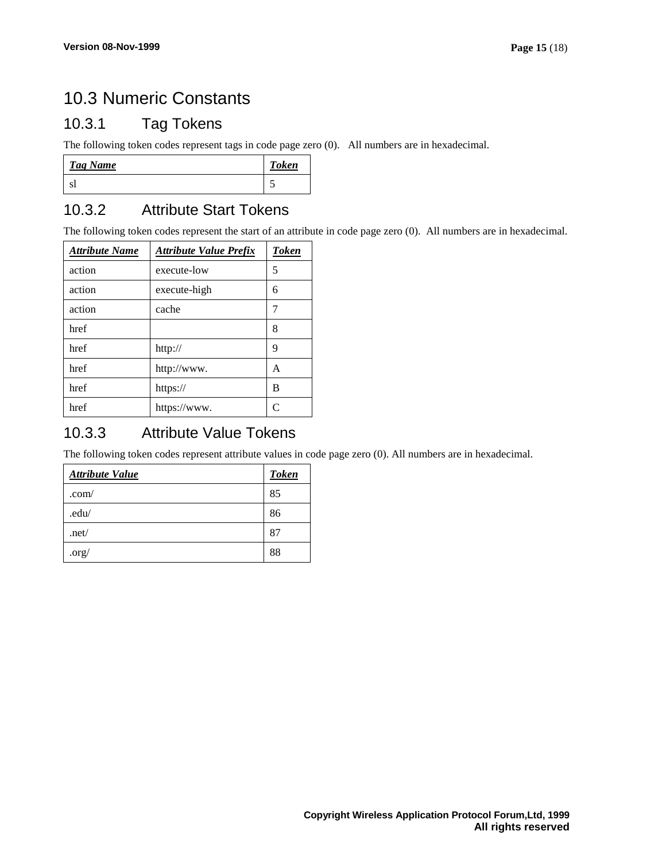## 10.3 Numeric Constants

### 10.3.1 Tag Tokens

The following token codes represent tags in code page zero (0). All numbers are in hexadecimal.

| Tag Name | <b>Token</b> |
|----------|--------------|
|          |              |

### 10.3.2 Attribute Start Tokens

The following token codes represent the start of an attribute in code page zero (0). All numbers are in hexadecimal.

| <b>Attribute Name</b> | <b>Attribute Value Prefix</b> | <b>Token</b>  |
|-----------------------|-------------------------------|---------------|
| action                | execute-low                   | 5             |
| action                | execute-high                  | 6             |
| action                | cache                         | 7             |
| href                  |                               | 8             |
| href                  | http://                       | 9             |
| href                  | http://www.                   | А             |
| href                  | https://                      | В             |
| href                  | https://www.                  | $\mathcal{C}$ |

### 10.3.3 Attribute Value Tokens

The following token codes represent attribute values in code page zero (0). All numbers are in hexadecimal.

| <b>Attribute Value</b> | <b>Token</b> |
|------------------------|--------------|
| .com/                  | 85           |
| .edu/                  | 86           |
| .net/                  | 87           |
| $.$ org $/$            | 88           |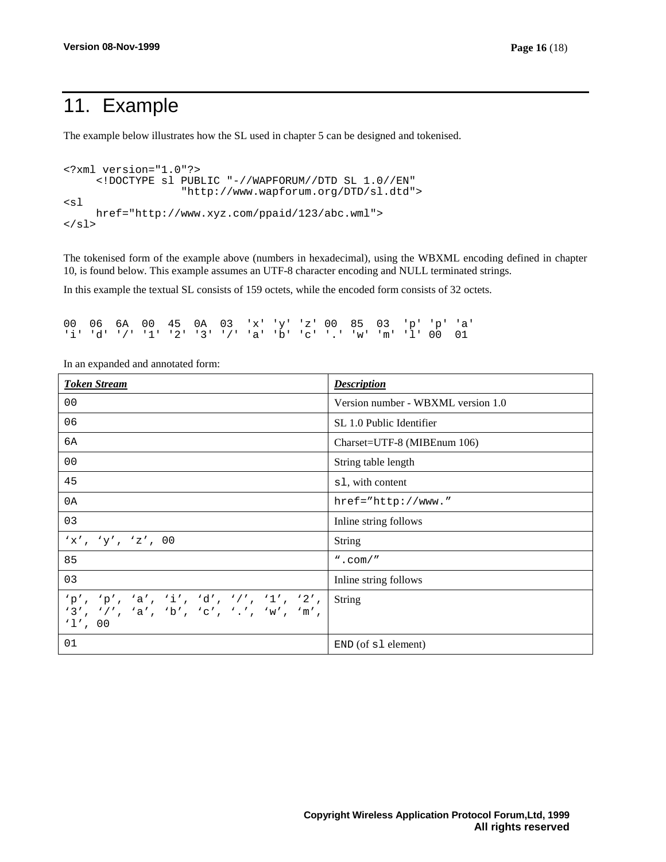# 11. Example

The example below illustrates how the SL used in chapter 5 can be designed and tokenised.

```
<?xml version="1.0"?>
     <!DOCTYPE sl PUBLIC "-//WAPFORUM//DTD SL 1.0//EN"
                   "http://www.wapforum.org/DTD/sl.dtd">
<sl
     href="http://www.xyz.com/ppaid/123/abc.wml">
\langlesl>
```
The tokenised form of the example above (numbers in hexadecimal), using the WBXML encoding defined in chapter 10, is found below. This example assumes an UTF-8 character encoding and NULL terminated strings.

In this example the textual SL consists of 159 octets, while the encoded form consists of 32 octets.

|  |  |  |  | 00 06 6A 00 45 0A 03 'x' 'y' 'z' 00 85 03 'p' 'p' 'a'         |  |  |  |  |
|--|--|--|--|---------------------------------------------------------------|--|--|--|--|
|  |  |  |  | 'i' 'd' '/' '1' '2' '3' '/' 'a' 'b' 'c' '.' 'w' 'm' 'l' 00 01 |  |  |  |  |

| <b>Token Stream</b>                                                                             | <b>Description</b>                 |
|-------------------------------------------------------------------------------------------------|------------------------------------|
| 0 <sub>0</sub>                                                                                  | Version number - WBXML version 1.0 |
| 06                                                                                              | SL 1.0 Public Identifier           |
| 6A                                                                                              | Charset=UTF-8 (MIBEnum 106)        |
| 0 <sub>0</sub>                                                                                  | String table length                |
| 45                                                                                              | s1, with content                   |
| 0A                                                                                              | $href="http://www."$               |
| 03                                                                                              | Inline string follows              |
| 'x', 'y', 'z', 00                                                                               | <b>String</b>                      |
| 85                                                                                              | $"$ . com/"                        |
| 03                                                                                              | Inline string follows              |
| $'p', 'p', 'a', 'i', 'd', 'l', 'l', '2',$<br>'3', '/', 'a', 'b', 'c', '.', 'w', 'm',<br>'1', 00 | String                             |
| 01                                                                                              | $END($ of $s1$ element)            |

In an expanded and annotated form: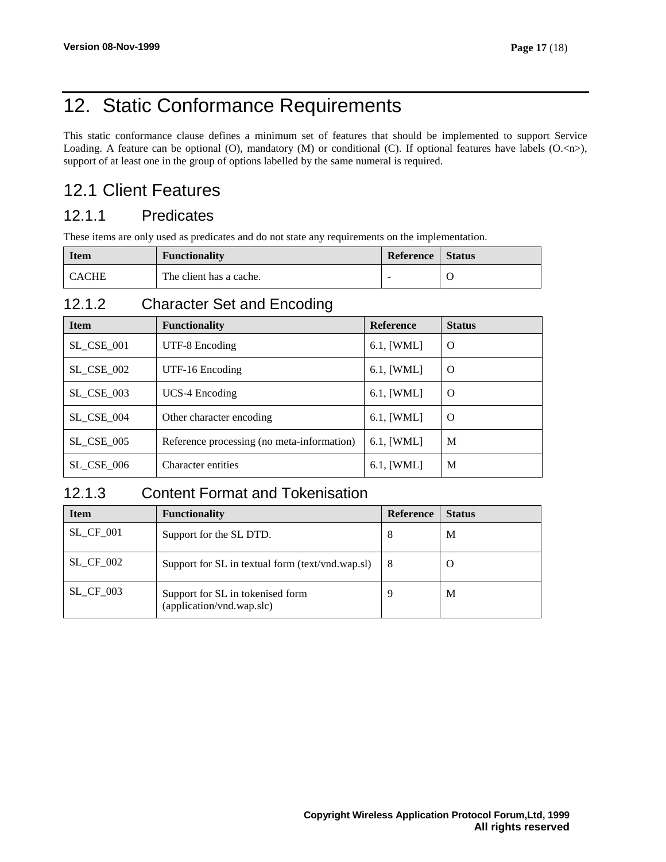# 12. Static Conformance Requirements

This static conformance clause defines a minimum set of features that should be implemented to support Service Loading. A feature can be optional (O), mandatory (M) or conditional (C). If optional features have labels  $(O,\langle n\rangle)$ , support of at least one in the group of options labelled by the same numeral is required.

## 12.1 Client Features

### 12.1.1 Predicates

These items are only used as predicates and do not state any requirements on the implementation.

| <b>Item</b>  | <b>Functionality</b>    | Reference | <b>Status</b> |
|--------------|-------------------------|-----------|---------------|
| <b>CACHE</b> | The client has a cache. | -         |               |

### 12.1.2 Character Set and Encoding

| <b>Item</b>       | <b>Functionality</b>                       | <b>Reference</b> | <b>Status</b> |
|-------------------|--------------------------------------------|------------------|---------------|
| <b>SL_CSE_001</b> | UTF-8 Encoding                             | 6.1, [WML]       | O             |
| <b>SL_CSE_002</b> | UTF-16 Encoding                            | 6.1, [WML]       | O             |
| <b>SL_CSE_003</b> | <b>UCS-4 Encoding</b>                      | 6.1, [WML]       | O             |
| SL CSE 004        | Other character encoding                   | $6.1$ , [WML]    | O             |
| SL CSE 005        | Reference processing (no meta-information) | $6.1$ , [WML]    | M             |
| <b>SL CSE 006</b> | Character entities                         | $6.1$ , [WML]    | M             |

### 12.1.3 Content Format and Tokenisation

| <b>Item</b>      | <b>Functionality</b>                                          | <b>Reference</b> | <b>Status</b> |
|------------------|---------------------------------------------------------------|------------------|---------------|
| $SL_C$ $F_0$ 01  | Support for the SL DTD.                                       | 8                | M             |
| <b>SL CF 002</b> | Support for SL in textual form (text/vnd.wap.sl)              | 8                | $\cup$        |
| $SL_C$ $CF_0$ 03 | Support for SL in tokenised form<br>(application/vnd.wap.slc) | Q                | M             |